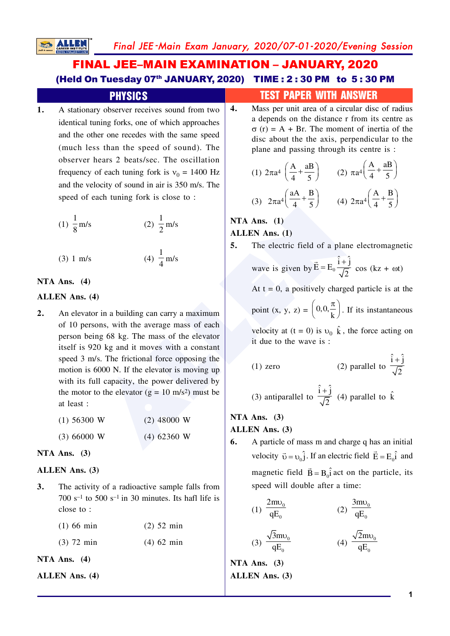# **FINAL JEE-MAIN EXAMINATION - JANUARY, 2020** (Held On Tuesday 07th JANUARY, 2020) TIME: 2:30 PM to 5:30 PM

# **PHYSICS**

A stationary observer receives sound from two 1. identical tuning forks, one of which approaches and the other one recedes with the same speed (much less than the speed of sound). The observer hears 2 beats/sec. The oscillation frequency of each tuning fork is  $v_0 = 1400$  Hz and the velocity of sound in air is 350 m/s. The speed of each tuning fork is close to:

(1) 
$$
\frac{1}{8}
$$
 m/s (2)  $\frac{1}{2}$  m/s

(4)  $\frac{1}{4}$  m/s  $(3) 1 m/s$ 

#### NTA Ans.  $(4)$

#### **ALLEN** Ans. (4)

 $2.$ An elevator in a building can carry a maximum of 10 persons, with the average mass of each person being 68 kg. The mass of the elevator itself is 920 kg and it moves with a constant speed 3 m/s. The frictional force opposing the motion is 6000 N. If the elevator is moving up with its full capacity, the power delivered by the motor to the elevator  $(g = 10 \text{ m/s}^2)$  must be at least:

| $(1)$ 56300 W | $(2)$ 48000 W |
|---------------|---------------|
| (3) 66000 W   | $(4)$ 62360 W |

## NTA Ans.  $(3)$

## ALLEN Ans. (3)

 $3.$ The activity of a radioactive sample falls from 700  $s^{-1}$  to 500  $s^{-1}$  in 30 minutes. Its hafl life is close to:

| $(1)$ 66 min | $(2)$ 52 min |
|--------------|--------------|
| $(3)$ 72 min | $(4)$ 62 min |

NTA Ans.  $(4)$ 

**ALLEN Ans. (4)** 

# **TEST PAPER WITH ANSWER**

Mass per unit area of a circular disc of radius  $\boldsymbol{4}$ . a depends on the distance r from its centre as  $\sigma$  (r) = A + Br. The moment of inertia of the disc about the the axis, perpendicular to the plane and passing through its centre is :

(1) 
$$
2\pi a^4 \left(\frac{A}{4} + \frac{aB}{5}\right)
$$
 (2)  $\pi a^4 \left(\frac{A}{4} + \frac{aB}{5}\right)$   
(3)  $2\pi a^4 \left(\frac{aA}{4} + \frac{B}{5}\right)$  (4)  $2\pi a^4 \left(\frac{A}{4} + \frac{B}{5}\right)$ 

# NTA Ans.  $(1)$ **ALLEN** Ans. (1)

| 5. |  |                                   |  | The electric field of a plane electromagnetic |  |
|----|--|-----------------------------------|--|-----------------------------------------------|--|
|    |  | $\vec{E}$ $\vec{E}$ $\vec{l}$ + j |  |                                               |  |

wave is given by 
$$
\vec{E} = E_0 \frac{1+1}{\sqrt{2}} \cos(kz + \omega t)
$$

At  $t = 0$ , a positively charged particle is at the

point  $(x, y, z) = \left(0, 0, \frac{\pi}{k}\right)$ . If its instantaneous

velocity at  $(t = 0)$  is  $v_0$   $\hat{k}$ , the force acting on it due to the wave is :

(1) zero (2) parallel to 
$$
\frac{\hat{i} + \hat{j}}{\sqrt{2}}
$$

(3) antiparallel to 
$$
\frac{\hat{i} + \hat{j}}{\sqrt{2}}
$$
 (4) parallel to  $\hat{k}$ 

# NTA Ans.  $(3)$ **ALLEN** Ans. (3)

6. A particle of mass m and charge q has an initial velocity  $\vec{v} = v_0 \hat{j}$ . If an electric field  $\vec{E} = E_0 \hat{i}$  and magnetic field  $\vec{B} = B_0 \hat{i}$  act on the particle, its speed will double after a time:

(1) 
$$
\frac{2m\nu_0}{qE_0}
$$
 (2)  $\frac{3m\nu_0}{qE_0}$ 

(3) 
$$
\frac{\sqrt{3}mv_0}{qE_0}
$$
 (4)  $\frac{\sqrt{2}mv_0}{qE_0}$ 

NTA Ans.  $(3)$ **ALLEN** Ans. (3)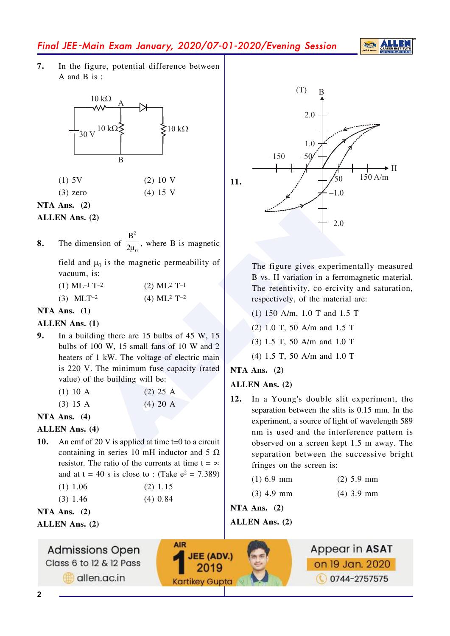

In the figure, potential difference between 7.  $A$  and  $B$  is :



| $(1)$ 5V   | $(2)$ 10 V |
|------------|------------|
| $(3)$ zero | $(4)$ 15 V |

NTA Ans.  $(2)$ 

ALLEN Ans. (2)

The dimension of  $\frac{B^2}{2u_0}$ , where B is magnetic 8.

field and  $\mu_0$  is the magnetic permeability of vacuum, is:

| $(1)$ ML <sup>-1</sup> T <sup>-2</sup> | $(2)$ ML <sup>2</sup> T <sup>-1</sup> |
|----------------------------------------|---------------------------------------|
| $(3)$ MLT <sup>-2</sup>                | $(4)$ ML <sup>2</sup> T <sup>-2</sup> |

## NTA Ans.  $(1)$

## ALLEN Ans. (1)

 $9<sub>1</sub>$ In a building there are  $15$  bulbs of  $45$  W,  $15$ bulbs of 100 W, 15 small fans of 10 W and 2 heaters of 1 kW. The voltage of electric main is 220 V. The minimum fuse capacity (rated value) of the building will be:

| $(1)$ 10 A | $(2)$ 25 A |
|------------|------------|
| $(3)$ 15 A | $(4)$ 20 A |

## NTA Ans.  $(4)$

## **ALLEN** Ans. (4)

10. An emf of 20 V is applied at time  $t=0$  to a circuit containing in series 10 mH inductor and 5  $\Omega$ resistor. The ratio of the currents at time  $t = \infty$ and at  $t = 40$  s is close to : (Take  $e^2 = 7.389$ )

| $(1)$ 1.06 | $(2)$ 1.15 |
|------------|------------|
| $(3)$ 1.46 | $(4)$ 0.84 |

|  | $(2)$ 1.40 | ₹ |  |
|--|------------|---|--|
|  | $\sim$     |   |  |

NTA Ans.  $(2)$ 

ALLEN Ans. (2)





The figure gives experimentally measured B vs. H variation in a ferromagnetic material. The retentivity, co-ercivity and saturation, respectively, of the material are:

- (1) 150 A/m, 1.0 T and 1.5 T
- $(2)$  1.0 T, 50 A/m and 1.5 T
- (3) 1.5 T, 50 A/m and 1.0 T
- $(4)$  1.5 T, 50 A/m and 1.0 T

## NTA Ans.  $(2)$

## ALLEN Ans. (2)

12. In a Young's double slit experiment, the separation between the slits is 0.15 mm. In the experiment, a source of light of wavelength 589 nm is used and the interference pattern is observed on a screen kept 1.5 m away. The separation between the successive bright fringes on the screen is:

 $(4)$  3.9 mm

- $(2)$  5.9 mm  $(1)$  6.9 mm
- $(3)$  4.9 mm

NTA Ans.  $(2)$ 

ALLEN Ans. (2)

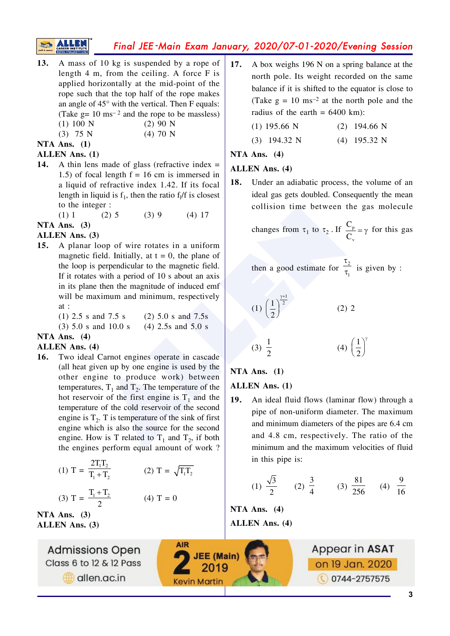- 13. A mass of 10 kg is suspended by a rope of length  $4 \text{ m}$ , from the ceiling. A force  $F$  is applied horizontally at the mid-point of the rope such that the top half of the rope makes an angle of  $45^{\circ}$  with the vertical. Then F equals: (Take  $g = 10$  ms<sup>-2</sup> and the rope to be massless)  $(1) 100 N$  $(2)$  90 N  $(4)$  70 N
	- $(3)$  75 N

# NTA Ans. (1)

## **ALLEN Ans.** (1)

- A thin lens made of glass (refractive index  $=$ 14. 1.5) of focal length  $f = 16$  cm is immersed in a liquid of refractive index 1.42. If its focal length in liquid is  $f_1$ , then the ratio  $f_1/f$  is closest to the integer :
	- $(3)9$  $(1) 1$  $(2)$  5  $(4)$  17

NTA Ans.  $(3)$ 

## ALLEN Ans. (3)

A planar loop of wire rotates in a uniform 15. magnetic field. Initially, at  $t = 0$ , the plane of the loop is perpendicular to the magnetic field. If it rotates with a period of 10 s about an axis in its plane then the magnitude of induced emf will be maximum and minimum, respectively  $at:$ 

 $(1)$  2.5 s and 7.5 s  $(2)$  5.0 s and 7.5s

 $(3)$  5.0 s and 10.0 s  $(4)$  2.5s and 5.0 s

## NTA Ans.  $(4)$

#### **ALLEN Ans. (4)**

Two ideal Carnot engines operate in cascade 16. (all heat given up by one engine is used by the other engine to produce work) between temperatures,  $T_1$  and  $T_2$ . The temperature of the hot reservoir of the first engine is  $T_1$  and the temperature of the cold reservoir of the second engine is  $T<sub>2</sub>$ . T is temperature of the sink of first engine which is also the source for the second engine. How is T related to  $T_1$  and  $T_2$ , if both the engines perform equal amount of work?

(1) 
$$
T = \frac{2T_1T_2}{T_1 + T_2}
$$
 (2)  $T = \sqrt{T_1T_2}$   
(3)  $T = \frac{T_1 + T_2}{2}$  (4)  $T = 0$ 

NTA Ans.  $(3)$ **ALLEN Ans. (3)** 

> **Admissions Open** Class 6 to 12 & 12 Pass dlen.ac.in

17. A box weighs 196 N on a spring balance at the north pole. Its weight recorded on the same balance if it is shifted to the equator is close to (Take  $g = 10$  ms<sup>-2</sup> at the north pole and the radius of the earth =  $6400 \text{ km}$ :

| $(1)$ 195.66 N | $(2)$ 194.66 N |
|----------------|----------------|
|                |                |

N

| $(3)$ 194.32 N | $(4)$ 195.32 |
|----------------|--------------|
|                |              |

## NTA Ans.  $(4)$

## **ALLEN** Ans. (4)

18. Under an adiabatic process, the volume of an ideal gas gets doubled. Consequently the mean collision time between the gas molecule

changes from  $\tau_1$  to  $\tau_2$ . If  $\frac{C_p}{C} = \gamma$  for this gas

then a good estimate for 
$$
\frac{\tau_2}{\tau_1}
$$
 is given by :

(1) 
$$
\left(\frac{1}{2}\right)^{\frac{12}{2}}
$$
 (2) 2  
(3)  $\frac{1}{2}$  (4)  $\left(\frac{1}{2}\right)^7$ 

NTA Ans.  $(1)$ 

## **ALLEN** Ans. (1)

**19.** An ideal fluid flows (laminar flow) through a pipe of non-uniform diameter. The maximum and minimum diameters of the pipes are 6.4 cm and 4.8 cm, respectively. The ratio of the minimum and the maximum velocities of fluid in this pipe is:

(1) 
$$
\frac{\sqrt{3}}{2}
$$
 (2)  $\frac{3}{4}$  (3)  $\frac{81}{256}$  (4)  $\frac{9}{16}$ 

NTA Ans.  $(4)$ **ALLEN** Ans. (4)